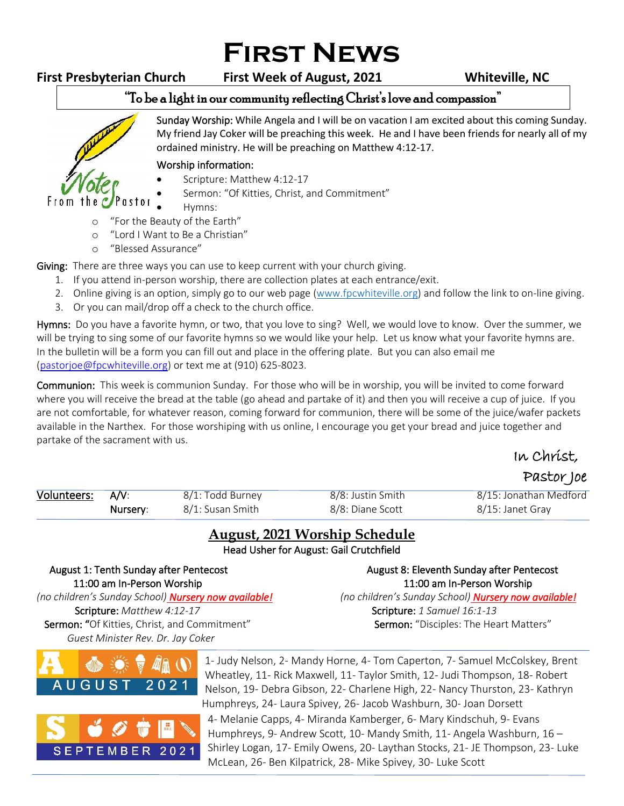# **First News**

From the  $\epsilon$ 

**First Presbyterian Church First Week of August, 2021 Whiteville, NC**

### "To be a light in our community reflecting Christ's love and compassion"

Sunday Worship: While Angela and I will be on vacation I am excited about this coming Sunday. My friend Jay Coker will be preaching this week. He and I have been friends for nearly all of my ordained ministry. He will be preaching on Matthew 4:12-17. ֺ֝

#### Worship information:

- Scripture: Matthew 4:12-17
	- Sermon: "Of Kitties, Christ, and Commitment"
- Hymns:
- o "For the Beauty of the Earth"
- o "Lord I Want to Be a Christian"
- o "Blessed Assurance"

astor

Giving: There are three ways you can use to keep current with your church giving.

- 1. If you attend in-person worship, there are collection plates at each entrance/exit.
- 2. Online giving is an option, simply go to our web page [\(www.fpcwhiteville.org](http://www.fpcwhiteville.ort/)) and follow the link to on-line giving.
- 3. Or you can mail/drop off a check to the church office.

Hymns: Do you have a favorite hymn, or two, that you love to sing? Well, we would love to know. Over the summer, we will be trying to sing some of our favorite hymns so we would like your help. Let us know what your favorite hymns are. In the bulletin will be a form you can fill out and place in the offering plate. But you can also email me [\(pastorjoe@fpcwhiteville.org\)](file:///C:/Users/Valued%20Customer/Desktop/pastorjoe@fpcwhiteville.org) or text me at (910) 625-8023.

Communion: This week is communion Sunday. For those who will be in worship, you will be invited to come forward where you will receive the bread at the table (go ahead and partake of it) and then you will receive a cup of juice. If you are not comfortable, for whatever reason, coming forward for communion, there will be some of the juice/wafer packets available in the Narthex. For those worshiping with us online, I encourage you get your bread and juice together and partake of the sacrament with us.

## In Christ,

### Pastor Joe

| Volunteers: A/V: |          | 8/1: Todd Burney | 8/8: Justin Smith | 8/15: Jonathan Medford |
|------------------|----------|------------------|-------------------|------------------------|
|                  | Nursery: | 8/1: Susan Smith | 8/8: Diane Scott  | 8/15: Janet Grav       |

### **August, 2021 Worship Schedule**

Head Usher for August: Gail Crutchfield

11:00 am In-Person Worship 11:00 am In-Person Worship *(no children's Sunday School) Nursery now available! (no children's Sunday School) Nursery now available!* Scripture: *Matthew 4:12-17* **Scripture:** *1 Samuel 16:1-13* Scripture: *1 Samuel 16:1-13* Sermon: "Of Kitties, Christ, and Commitment" Sermon: "Disciples: The Heart Matters" *Guest Minister Rev. Dr. Jay Coker*

August 1: Tenth Sunday after Pentecost **August 8: Eleventh Sunday after Pentecost** 





1- Judy Nelson, 2- Mandy Horne, 4- Tom Caperton, 7- Samuel McColskey, Brent Wheatley, 11- Rick Maxwell, 11- Taylor Smith, 12- Judi Thompson, 18- Robert Nelson, 19- Debra Gibson, 22- Charlene High, 22- Nancy Thurston, 23- Kathryn Humphreys, 24- Laura Spivey, 26- Jacob Washburn, 30- Joan Dorsett 4- Melanie Capps, 4- Miranda Kamberger, 6- Mary Kindschuh, 9- Evans Humphreys, 9- Andrew Scott, 10- Mandy Smith, 11- Angela Washburn, 16 – Shirley Logan, 17- Emily Owens, 20- Laythan Stocks, 21- JE Thompson, 23- Luke McLean, 26- Ben Kilpatrick, 28- Mike Spivey, 30- Luke Scott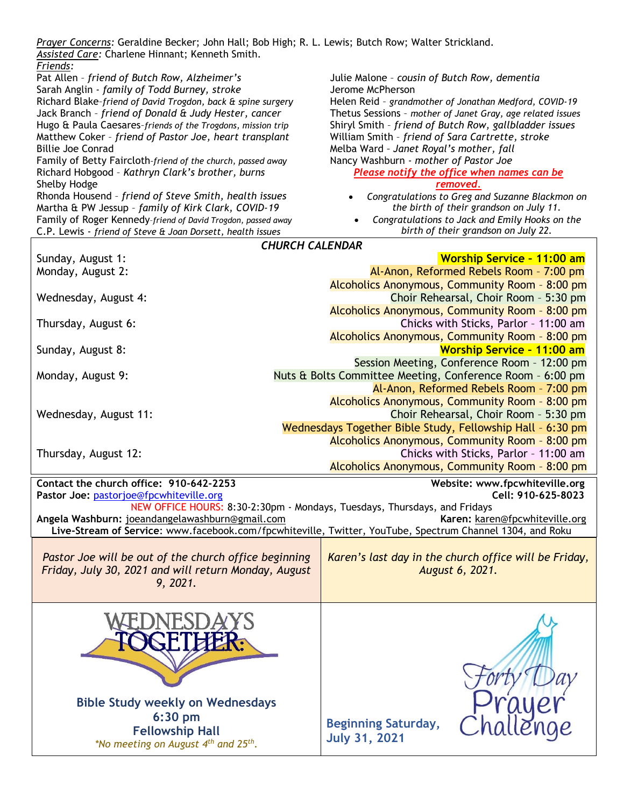| Prayer Concerns: Geraldine Becker; John Hall; Bob High; R. L. Lewis; Butch Row; Walter Strickland.<br>Assisted Care: Charlene Hinnant; Kenneth Smith.          |                                                                                           |  |  |  |
|----------------------------------------------------------------------------------------------------------------------------------------------------------------|-------------------------------------------------------------------------------------------|--|--|--|
| Friends:<br>Pat Allen - friend of Butch Row, Alzheimer's                                                                                                       | Julie Malone - cousin of Butch Row, dementia                                              |  |  |  |
| Sarah Anglin - family of Todd Burney, stroke                                                                                                                   | Jerome McPherson                                                                          |  |  |  |
| Richard Blake-friend of David Trogdon, back & spine surgery                                                                                                    | Helen Reid - grandmother of Jonathan Medford, COVID-19                                    |  |  |  |
| Jack Branch - friend of Donald & Judy Hester, cancer                                                                                                           | Thetus Sessions - mother of Janet Gray, age related issues                                |  |  |  |
| Hugo & Paula Caesares-friends of the Trogdons, mission trip                                                                                                    | Shiryl Smith - friend of Butch Row, gallbladder issues                                    |  |  |  |
| Matthew Coker - friend of Pastor Joe, heart transplant                                                                                                         | William Smith - friend of Sara Cartrette, stroke                                          |  |  |  |
| <b>Billie Joe Conrad</b><br>Family of Betty Faircloth-friend of the church, passed away                                                                        | Melba Ward - Janet Royal's mother, fall<br>Nancy Washburn - mother of Pastor Joe          |  |  |  |
| Richard Hobgood - Kathryn Clark's brother, burns                                                                                                               | Please notify the office when names can be                                                |  |  |  |
| Shelby Hodge                                                                                                                                                   | removed.                                                                                  |  |  |  |
| Rhonda Housend - friend of Steve Smith, health issues                                                                                                          | Congratulations to Greg and Suzanne Blackmon on                                           |  |  |  |
| Martha & PW Jessup - family of Kirk Clark, COVID-19                                                                                                            | the birth of their grandson on July 11.                                                   |  |  |  |
| Family of Roger Kennedy-friend of David Trogdon, passed away                                                                                                   | Congratulations to Jack and Emily Hooks on the                                            |  |  |  |
| C.P. Lewis - friend of Steve & Joan Dorsett, health issues                                                                                                     | birth of their grandson on July 22.                                                       |  |  |  |
| <b>CHURCH CALENDAR</b>                                                                                                                                         |                                                                                           |  |  |  |
| Sunday, August 1:                                                                                                                                              | <b>Worship Service - 11:00 am</b>                                                         |  |  |  |
| Monday, August 2:                                                                                                                                              | Al-Anon, Reformed Rebels Room - 7:00 pm<br>Alcoholics Anonymous, Community Room - 8:00 pm |  |  |  |
| Wednesday, August 4:                                                                                                                                           | Choir Rehearsal, Choir Room - 5:30 pm                                                     |  |  |  |
|                                                                                                                                                                | Alcoholics Anonymous, Community Room - 8:00 pm                                            |  |  |  |
| Thursday, August 6:                                                                                                                                            | Chicks with Sticks, Parlor - 11:00 am                                                     |  |  |  |
|                                                                                                                                                                | Alcoholics Anonymous, Community Room - 8:00 pm                                            |  |  |  |
| Sunday, August 8:                                                                                                                                              | <b>Worship Service - 11:00 am</b>                                                         |  |  |  |
|                                                                                                                                                                | Session Meeting, Conference Room - 12:00 pm                                               |  |  |  |
| Monday, August 9:                                                                                                                                              | Nuts & Bolts Committee Meeting, Conference Room - 6:00 pm                                 |  |  |  |
|                                                                                                                                                                | Al-Anon, Reformed Rebels Room - 7:00 pm                                                   |  |  |  |
|                                                                                                                                                                | Alcoholics Anonymous, Community Room - 8:00 pm                                            |  |  |  |
| Wednesday, August 11:                                                                                                                                          | Choir Rehearsal, Choir Room - 5:30 pm                                                     |  |  |  |
|                                                                                                                                                                | Wednesdays Together Bible Study, Fellowship Hall - 6:30 pm                                |  |  |  |
|                                                                                                                                                                | Alcoholics Anonymous, Community Room - 8:00 pm                                            |  |  |  |
| Thursday, August 12:                                                                                                                                           | Chicks with Sticks, Parlor - 11:00 am                                                     |  |  |  |
|                                                                                                                                                                | Alcoholics Anonymous, Community Room - 8:00 pm                                            |  |  |  |
| Contact the church office: 910-642-2253                                                                                                                        | Website: www.fpcwhiteville.org                                                            |  |  |  |
| Pastor Joe: pastorjoe@fpcwhiteville.org<br>Cell: 910-625-8023                                                                                                  |                                                                                           |  |  |  |
| NEW OFFICE HOURS: 8:30-2:30pm - Mondays, Tuesdays, Thursdays, and Fridays<br>Angela Washburn: joeandangelawashburn@gmail.com<br>Karen: karen@fpcwhiteville.org |                                                                                           |  |  |  |
| Live-Stream of Service: www.facebook.com/fpcwhiteville, Twitter, YouTube, Spectrum Channel 1304, and Roku                                                      |                                                                                           |  |  |  |
|                                                                                                                                                                |                                                                                           |  |  |  |
| Pastor Joe will be out of the church office beginning                                                                                                          | Karen's last day in the church office will be Friday,                                     |  |  |  |
| Friday, July 30, 2021 and will return Monday, August                                                                                                           | August 6, 2021.                                                                           |  |  |  |
| 9, 2021.                                                                                                                                                       |                                                                                           |  |  |  |
|                                                                                                                                                                |                                                                                           |  |  |  |
|                                                                                                                                                                |                                                                                           |  |  |  |
|                                                                                                                                                                |                                                                                           |  |  |  |
|                                                                                                                                                                |                                                                                           |  |  |  |
|                                                                                                                                                                |                                                                                           |  |  |  |
|                                                                                                                                                                |                                                                                           |  |  |  |
|                                                                                                                                                                |                                                                                           |  |  |  |
|                                                                                                                                                                |                                                                                           |  |  |  |
| <b>Bible Study weekly on Wednesdays</b>                                                                                                                        |                                                                                           |  |  |  |
|                                                                                                                                                                |                                                                                           |  |  |  |
| $6:30$ pm                                                                                                                                                      | <b>Beginning Saturday,</b>                                                                |  |  |  |
| <b>Fellowship Hall</b><br>*No meeting on August 4 <sup>th</sup> and 25 <sup>th</sup> .                                                                         | <b>July 31, 2021</b>                                                                      |  |  |  |